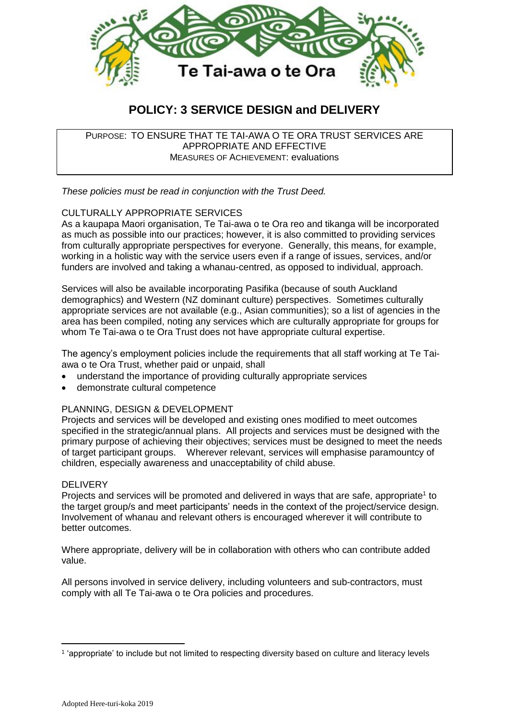

# **POLICY: 3 SERVICE DESIGN and DELIVERY**

PURPOSE: TO ENSURE THAT TE TAI-AWA O TE ORA TRUST SERVICES ARE APPROPRIATE AND EFFECTIVE MEASURES OF ACHIEVEMENT: evaluations

*These policies must be read in conjunction with the Trust Deed.*

## CULTURALLY APPROPRIATE SERVICES

As a kaupapa Maori organisation, Te Tai-awa o te Ora reo and tikanga will be incorporated as much as possible into our practices; however, it is also committed to providing services from culturally appropriate perspectives for everyone. Generally, this means, for example, working in a holistic way with the service users even if a range of issues, services, and/or funders are involved and taking a whanau-centred, as opposed to individual, approach.

Services will also be available incorporating Pasifika (because of south Auckland demographics) and Western (NZ dominant culture) perspectives. Sometimes culturally appropriate services are not available (e.g., Asian communities); so a list of agencies in the area has been compiled, noting any services which are culturally appropriate for groups for whom Te Tai-awa o te Ora Trust does not have appropriate cultural expertise.

The agency's employment policies include the requirements that all staff working at Te Taiawa o te Ora Trust, whether paid or unpaid, shall

- understand the importance of providing culturally appropriate services
- demonstrate cultural competence

#### PLANNING, DESIGN & DEVELOPMENT

Projects and services will be developed and existing ones modified to meet outcomes specified in the strategic/annual plans. All projects and services must be designed with the primary purpose of achieving their objectives; services must be designed to meet the needs of target participant groups. Wherever relevant, services will emphasise paramountcy of children, especially awareness and unacceptability of child abuse.

#### **DELIVERY**

1

Projects and services will be promoted and delivered in ways that are safe, appropriate<sup>1</sup> to the target group/s and meet participants' needs in the context of the project/service design. Involvement of whanau and relevant others is encouraged wherever it will contribute to better outcomes.

Where appropriate, delivery will be in collaboration with others who can contribute added value.

All persons involved in service delivery, including volunteers and sub-contractors, must comply with all Te Tai-awa o te Ora policies and procedures.

<sup>1</sup> 'appropriate' to include but not limited to respecting diversity based on culture and literacy levels